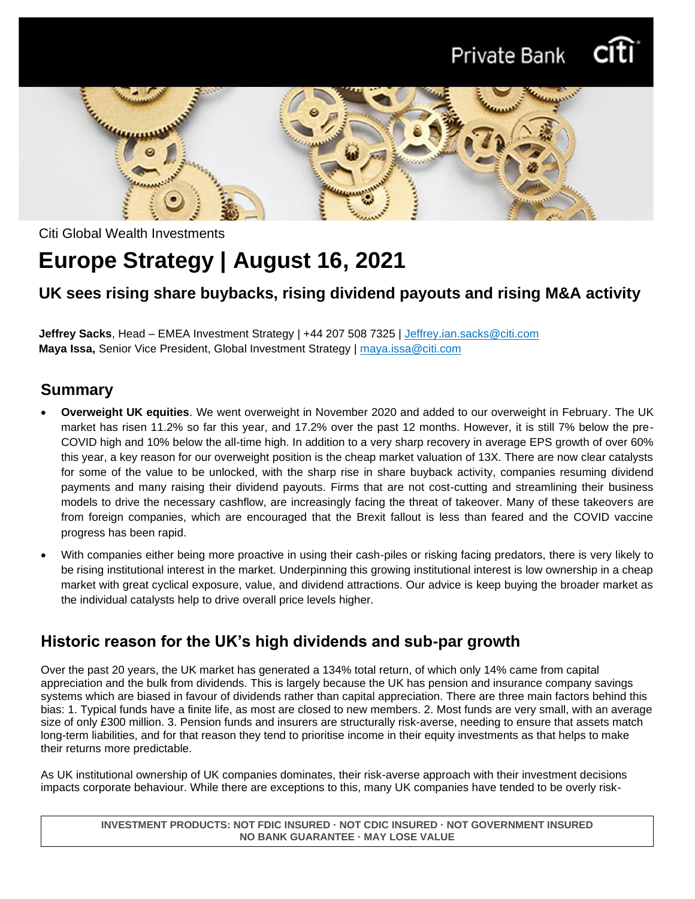



Citi Global Wealth Investments

# **Europe Strategy | August 16, 2021**

### **UK sees rising share buybacks, rising dividend payouts and rising M&A activity**

**Jeffrey Sacks**, Head – EMEA Investment Strategy | +44 207 508 7325 | [Jeffrey.ian.sacks@citi.com](mailto:Jeffrey.ian.sacks@citi.com) **Maya Issa,** Senior Vice President, Global Investment Strategy | maya.issa@citi.com

### **Summary**

- **Overweight UK equities**. We went overweight in November 2020 and added to our overweight in February. The UK market has risen 11.2% so far this year, and 17.2% over the past 12 months. However, it is still 7% below the pre-COVID high and 10% below the all-time high. In addition to a very sharp recovery in average EPS growth of over 60% this year, a key reason for our overweight position is the cheap market valuation of 13X. There are now clear catalysts for some of the value to be unlocked, with the sharp rise in share buyback activity, companies resuming dividend payments and many raising their dividend payouts. Firms that are not cost-cutting and streamlining their business models to drive the necessary cashflow, are increasingly facing the threat of takeover. Many of these takeovers are from foreign companies, which are encouraged that the Brexit fallout is less than feared and the COVID vaccine progress has been rapid.
- With companies either being more proactive in using their cash-piles or risking facing predators, there is very likely to be rising institutional interest in the market. Underpinning this growing institutional interest is low ownership in a cheap market with great cyclical exposure, value, and dividend attractions. Our advice is keep buying the broader market as the individual catalysts help to drive overall price levels higher.

### **Historic reason for the UK's high dividends and sub-par growth**

Over the past 20 years, the UK market has generated a 134% total return, of which only 14% came from capital appreciation and the bulk from dividends. This is largely because the UK has pension and insurance company savings systems which are biased in favour of dividends rather than capital appreciation. There are three main factors behind this bias: 1. Typical funds have a finite life, as most are closed to new members. 2. Most funds are very small, with an average size of only £300 million. 3. Pension funds and insurers are structurally risk-averse, needing to ensure that assets match long-term liabilities, and for that reason they tend to prioritise income in their equity investments as that helps to make their returns more predictable.

As UK institutional ownership of UK companies dominates, their risk-averse approach with their investment decisions impacts corporate behaviour. While there are exceptions to this, many UK companies have tended to be overly risk-

**INVESTMENT PRODUCTS: NOT FDIC INSURED · NOT CDIC INSURED · NOT GOVERNMENT INSURED NO BANK GUARANTEE · MAY LOSE VALUE**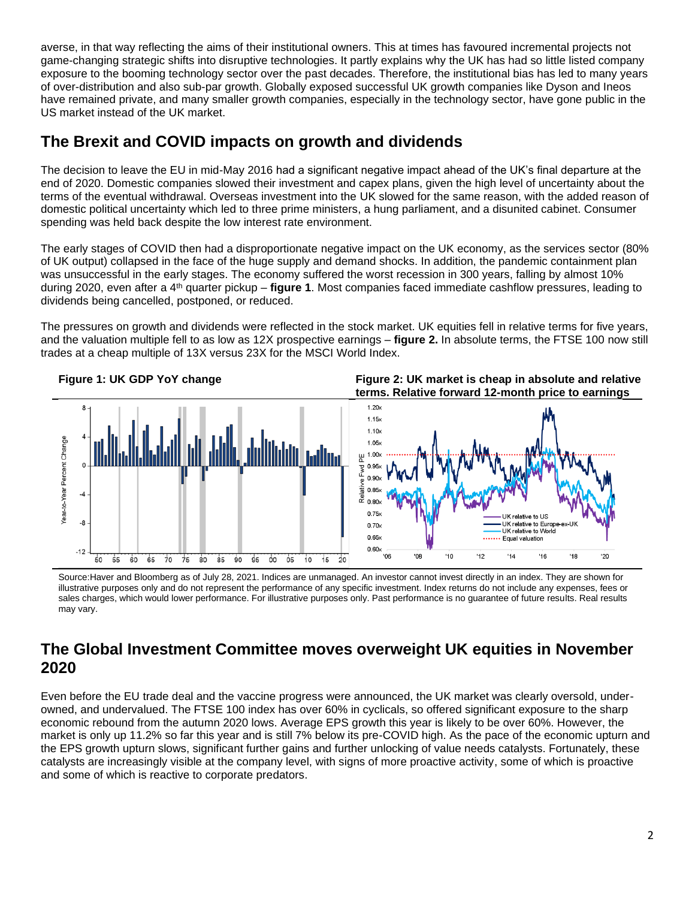averse, in that way reflecting the aims of their institutional owners. This at times has favoured incremental projects not game-changing strategic shifts into disruptive technologies. It partly explains why the UK has had so little listed company exposure to the booming technology sector over the past decades. Therefore, the institutional bias has led to many years of over-distribution and also sub-par growth. Globally exposed successful UK growth companies like Dyson and Ineos have remained private, and many smaller growth companies, especially in the technology sector, have gone public in the US market instead of the UK market.

### **The Brexit and COVID impacts on growth and dividends**

The decision to leave the EU in mid-May 2016 had a significant negative impact ahead of the UK's final departure at the end of 2020. Domestic companies slowed their investment and capex plans, given the high level of uncertainty about the terms of the eventual withdrawal. Overseas investment into the UK slowed for the same reason, with the added reason of domestic political uncertainty which led to three prime ministers, a hung parliament, and a disunited cabinet. Consumer spending was held back despite the low interest rate environment.

The early stages of COVID then had a disproportionate negative impact on the UK economy, as the services sector (80% of UK output) collapsed in the face of the huge supply and demand shocks. In addition, the pandemic containment plan was unsuccessful in the early stages. The economy suffered the worst recession in 300 years, falling by almost 10% during 2020, even after a 4th quarter pickup – **figure 1**. Most companies faced immediate cashflow pressures, leading to dividends being cancelled, postponed, or reduced.

The pressures on growth and dividends were reflected in the stock market. UK equities fell in relative terms for five years, and the valuation multiple fell to as low as 12X prospective earnings – **figure 2.** In absolute terms, the FTSE 100 now still trades at a cheap multiple of 13X versus 23X for the MSCI World Index.

**Figure 1: UK GDP YoY change Figure 2: UK market is cheap in absolute and relative** 



Source:Haver and Bloomberg as of July 28, 2021. Indices are unmanaged. An investor cannot invest directly in an index. They are shown for illustrative purposes only and do not represent the performance of any specific investment. Index returns do not include any expenses, fees or sales charges, which would lower performance. For illustrative purposes only. Past performance is no guarantee of future results. Real results may vary.

### **The Global Investment Committee moves overweight UK equities in November 2020**

Even before the EU trade deal and the vaccine progress were announced, the UK market was clearly oversold, underowned, and undervalued. The FTSE 100 index has over 60% in cyclicals, so offered significant exposure to the sharp economic rebound from the autumn 2020 lows. Average EPS growth this year is likely to be over 60%. However, the market is only up 11.2% so far this year and is still 7% below its pre-COVID high. As the pace of the economic upturn and the EPS growth upturn slows, significant further gains and further unlocking of value needs catalysts. Fortunately, these catalysts are increasingly visible at the company level, with signs of more proactive activity, some of which is proactive and some of which is reactive to corporate predators.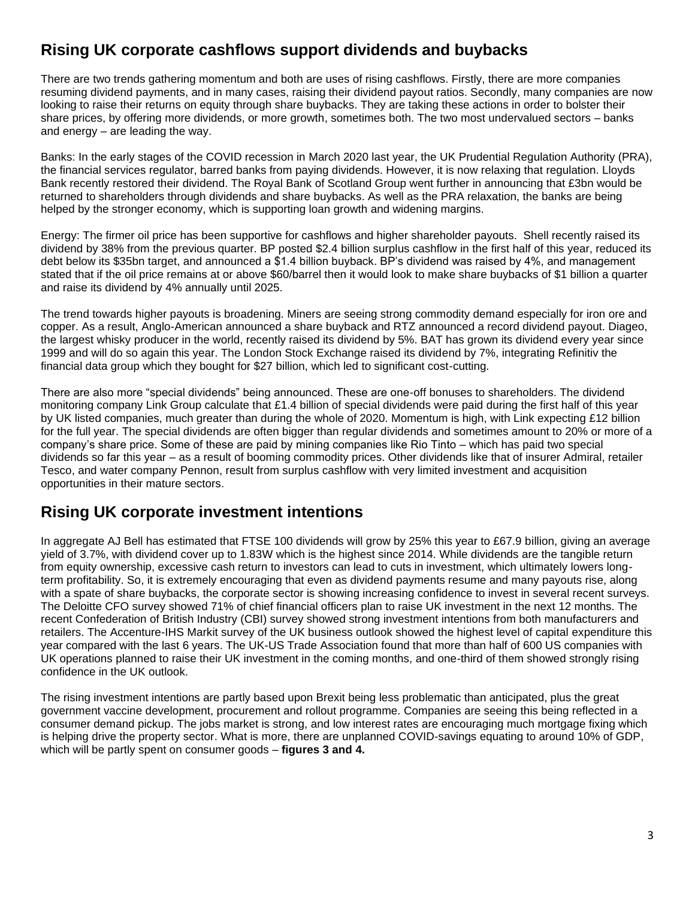## **Rising UK corporate cashflows support dividends and buybacks**

There are two trends gathering momentum and both are uses of rising cashflows. Firstly, there are more companies resuming dividend payments, and in many cases, raising their dividend payout ratios. Secondly, many companies are now looking to raise their returns on equity through share buybacks. They are taking these actions in order to bolster their share prices, by offering more dividends, or more growth, sometimes both. The two most undervalued sectors – banks and energy – are leading the way.

Banks: In the early stages of the COVID recession in March 2020 last year, the UK Prudential Regulation Authority (PRA), the financial services regulator, barred banks from paying dividends. However, it is now relaxing that regulation. Lloyds Bank recently restored their dividend. The Royal Bank of Scotland Group went further in announcing that £3bn would be returned to shareholders through dividends and share buybacks. As well as the PRA relaxation, the banks are being helped by the stronger economy, which is supporting loan growth and widening margins.

Energy: The firmer oil price has been supportive for cashflows and higher shareholder payouts. Shell recently raised its dividend by 38% from the previous quarter. BP posted \$2.4 billion surplus cashflow in the first half of this year, reduced its debt below its \$35bn target, and announced a \$1.4 billion buyback. BP's dividend was raised by 4%, and management stated that if the oil price remains at or above \$60/barrel then it would look to make share buybacks of \$1 billion a quarter and raise its dividend by 4% annually until 2025.

The trend towards higher payouts is broadening. Miners are seeing strong commodity demand especially for iron ore and copper. As a result, Anglo-American announced a share buyback and RTZ announced a record dividend payout. Diageo, the largest whisky producer in the world, recently raised its dividend by 5%. BAT has grown its dividend every year since 1999 and will do so again this year. The London Stock Exchange raised its dividend by 7%, integrating Refinitiv the financial data group which they bought for \$27 billion, which led to significant cost-cutting.

There are also more "special dividends" being announced. These are one-off bonuses to shareholders. The dividend monitoring company Link Group calculate that £1.4 billion of special dividends were paid during the first half of this year by UK listed companies, much greater than during the whole of 2020. Momentum is high, with Link expecting £12 billion for the full year. The special dividends are often bigger than regular dividends and sometimes amount to 20% or more of a company's share price. Some of these are paid by mining companies like Rio Tinto – which has paid two special dividends so far this year – as a result of booming commodity prices. Other dividends like that of insurer Admiral, retailer Tesco, and water company Pennon, result from surplus cashflow with very limited investment and acquisition opportunities in their mature sectors.

### **Rising UK corporate investment intentions**

In aggregate AJ Bell has estimated that FTSE 100 dividends will grow by 25% this year to £67.9 billion, giving an average yield of 3.7%, with dividend cover up to 1.83W which is the highest since 2014. While dividends are the tangible return from equity ownership, excessive cash return to investors can lead to cuts in investment, which ultimately lowers longterm profitability. So, it is extremely encouraging that even as dividend payments resume and many payouts rise, along with a spate of share buybacks, the corporate sector is showing increasing confidence to invest in several recent surveys. The Deloitte CFO survey showed 71% of chief financial officers plan to raise UK investment in the next 12 months. The recent Confederation of British Industry (CBI) survey showed strong investment intentions from both manufacturers and retailers. The Accenture-IHS Markit survey of the UK business outlook showed the highest level of capital expenditure this year compared with the last 6 years. The UK-US Trade Association found that more than half of 600 US companies with UK operations planned to raise their UK investment in the coming months, and one-third of them showed strongly rising confidence in the UK outlook.

The rising investment intentions are partly based upon Brexit being less problematic than anticipated, plus the great government vaccine development, procurement and rollout programme. Companies are seeing this being reflected in a consumer demand pickup. The jobs market is strong, and low interest rates are encouraging much mortgage fixing which is helping drive the property sector. What is more, there are unplanned COVID-savings equating to around 10% of GDP, which will be partly spent on consumer goods – **figures 3 and 4.**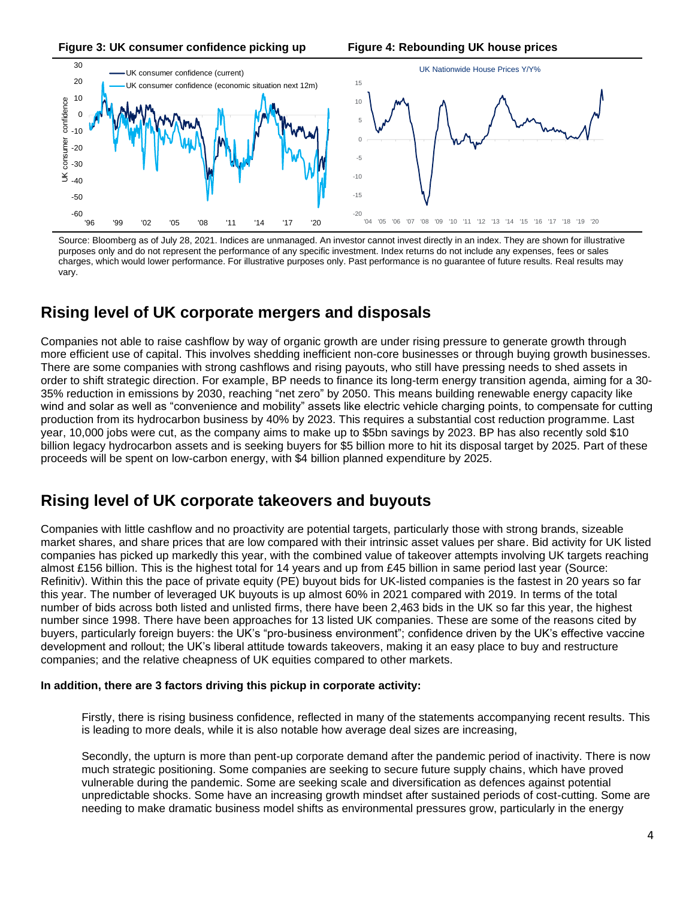**Figure 3: UK consumer confidence picking up Figure 4: Rebounding UK house prices**



Source: Bloomberg as of July 28, 2021. Indices are unmanaged. An investor cannot invest directly in an index. They are shown for illustrative purposes only and do not represent the performance of any specific investment. Index returns do not include any expenses, fees or sales charges, which would lower performance. For illustrative purposes only. Past performance is no guarantee of future results. Real results may vary.

### **Rising level of UK corporate mergers and disposals**

Companies not able to raise cashflow by way of organic growth are under rising pressure to generate growth through more efficient use of capital. This involves shedding inefficient non-core businesses or through buying growth businesses. There are some companies with strong cashflows and rising payouts, who still have pressing needs to shed assets in order to shift strategic direction. For example, BP needs to finance its long-term energy transition agenda, aiming for a 30- 35% reduction in emissions by 2030, reaching "net zero" by 2050. This means building renewable energy capacity like wind and solar as well as "convenience and mobility" assets like electric vehicle charging points, to compensate for cutting production from its hydrocarbon business by 40% by 2023. This requires a substantial cost reduction programme. Last year, 10,000 jobs were cut, as the company aims to make up to \$5bn savings by 2023. BP has also recently sold \$10 billion legacy hydrocarbon assets and is seeking buyers for \$5 billion more to hit its disposal target by 2025. Part of these proceeds will be spent on low-carbon energy, with \$4 billion planned expenditure by 2025.

### **Rising level of UK corporate takeovers and buyouts**

Companies with little cashflow and no proactivity are potential targets, particularly those with strong brands, sizeable market shares, and share prices that are low compared with their intrinsic asset values per share. Bid activity for UK listed companies has picked up markedly this year, with the combined value of takeover attempts involving UK targets reaching almost £156 billion. This is the highest total for 14 years and up from £45 billion in same period last year (Source: Refinitiv). Within this the pace of private equity (PE) buyout bids for UK-listed companies is the fastest in 20 years so far this year. The number of leveraged UK buyouts is up almost 60% in 2021 compared with 2019. In terms of the total number of bids across both listed and unlisted firms, there have been 2,463 bids in the UK so far this year, the highest number since 1998. There have been approaches for 13 listed UK companies. These are some of the reasons cited by buyers, particularly foreign buyers: the UK's "pro-business environment"; confidence driven by the UK's effective vaccine development and rollout; the UK's liberal attitude towards takeovers, making it an easy place to buy and restructure companies; and the relative cheapness of UK equities compared to other markets.

#### **In addition, there are 3 factors driving this pickup in corporate activity:**

Firstly, there is rising business confidence, reflected in many of the statements accompanying recent results. This is leading to more deals, while it is also notable how average deal sizes are increasing,

Secondly, the upturn is more than pent-up corporate demand after the pandemic period of inactivity. There is now much strategic positioning. Some companies are seeking to secure future supply chains, which have proved vulnerable during the pandemic. Some are seeking scale and diversification as defences against potential unpredictable shocks. Some have an increasing growth mindset after sustained periods of cost-cutting. Some are needing to make dramatic business model shifts as environmental pressures grow, particularly in the energy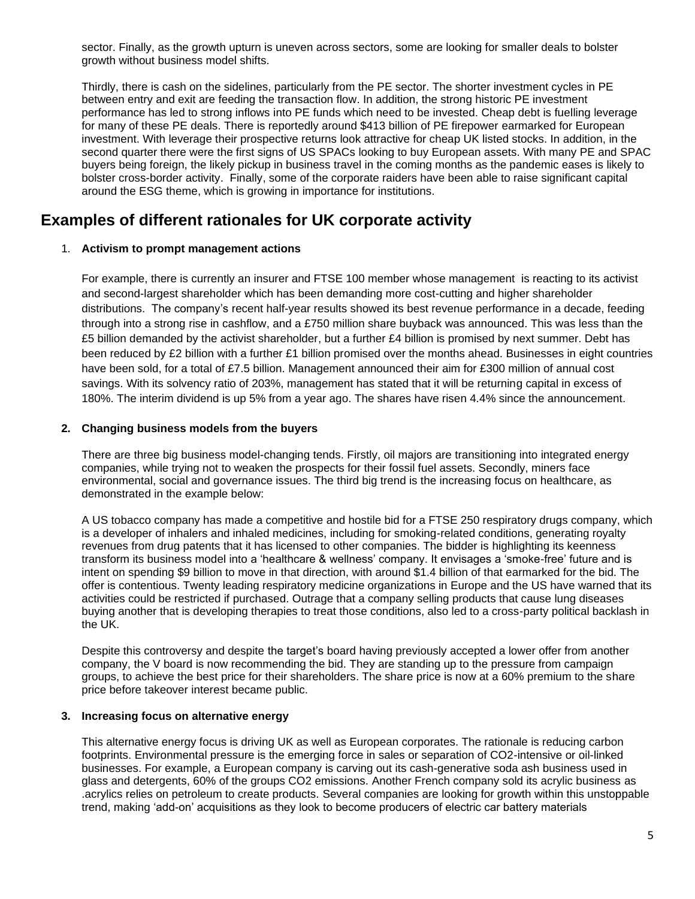sector. Finally, as the growth upturn is uneven across sectors, some are looking for smaller deals to bolster growth without business model shifts.

Thirdly, there is cash on the sidelines, particularly from the PE sector. The shorter investment cycles in PE between entry and exit are feeding the transaction flow. In addition, the strong historic PE investment performance has led to strong inflows into PE funds which need to be invested. Cheap debt is fuelling leverage for many of these PE deals. There is reportedly around \$413 billion of PE firepower earmarked for European investment. With leverage their prospective returns look attractive for cheap UK listed stocks. In addition, in the second quarter there were the first signs of US SPACs looking to buy European assets. With many PE and SPAC buyers being foreign, the likely pickup in business travel in the coming months as the pandemic eases is likely to bolster cross-border activity. Finally, some of the corporate raiders have been able to raise significant capital around the ESG theme, which is growing in importance for institutions.

### **Examples of different rationales for UK corporate activity**

#### 1. **Activism to prompt management actions**

For example, there is currently an insurer and FTSE 100 member whose management is reacting to its activist and second-largest shareholder which has been demanding more cost-cutting and higher shareholder distributions. The company's recent half-year results showed its best revenue performance in a decade, feeding through into a strong rise in cashflow, and a £750 million share buyback was announced. This was less than the £5 billion demanded by the activist shareholder, but a further £4 billion is promised by next summer. Debt has been reduced by £2 billion with a further £1 billion promised over the months ahead. Businesses in eight countries have been sold, for a total of £7.5 billion. Management announced their aim for £300 million of annual cost savings. With its solvency ratio of 203%, management has stated that it will be returning capital in excess of 180%. The interim dividend is up 5% from a year ago. The shares have risen 4.4% since the announcement.

#### **2. Changing business models from the buyers**

There are three big business model-changing tends. Firstly, oil majors are transitioning into integrated energy companies, while trying not to weaken the prospects for their fossil fuel assets. Secondly, miners face environmental, social and governance issues. The third big trend is the increasing focus on healthcare, as demonstrated in the example below:

A US tobacco company has made a competitive and hostile bid for a FTSE 250 respiratory drugs company, which is a developer of inhalers and inhaled medicines, including for smoking-related conditions, generating royalty revenues from drug patents that it has licensed to other companies. The bidder is highlighting its keenness transform its business model into a 'healthcare & wellness' company. It envisages a 'smoke-free' future and is intent on spending \$9 billion to move in that direction, with around \$1.4 billion of that earmarked for the bid. The offer is contentious. Twenty leading respiratory medicine organizations in Europe and the US have warned that its activities could be restricted if purchased. Outrage that a company selling products that cause lung diseases buying another that is developing therapies to treat those conditions, also led to a cross-party political backlash in the UK.

Despite this controversy and despite the target's board having previously accepted a lower offer from another company, the V board is now recommending the bid. They are standing up to the pressure from campaign groups, to achieve the best price for their shareholders. The share price is now at a 60% premium to the share price before takeover interest became public.

#### **3. Increasing focus on alternative energy**

This alternative energy focus is driving UK as well as European corporates. The rationale is reducing carbon footprints. Environmental pressure is the emerging force in sales or separation of CO2-intensive or oil-linked businesses. For example, a European company is carving out its cash-generative soda ash business used in glass and detergents, 60% of the groups CO2 emissions. Another French company sold its acrylic business as .acrylics relies on petroleum to create products. Several companies are looking for growth within this unstoppable trend, making 'add-on' acquisitions as they look to become producers of electric car battery materials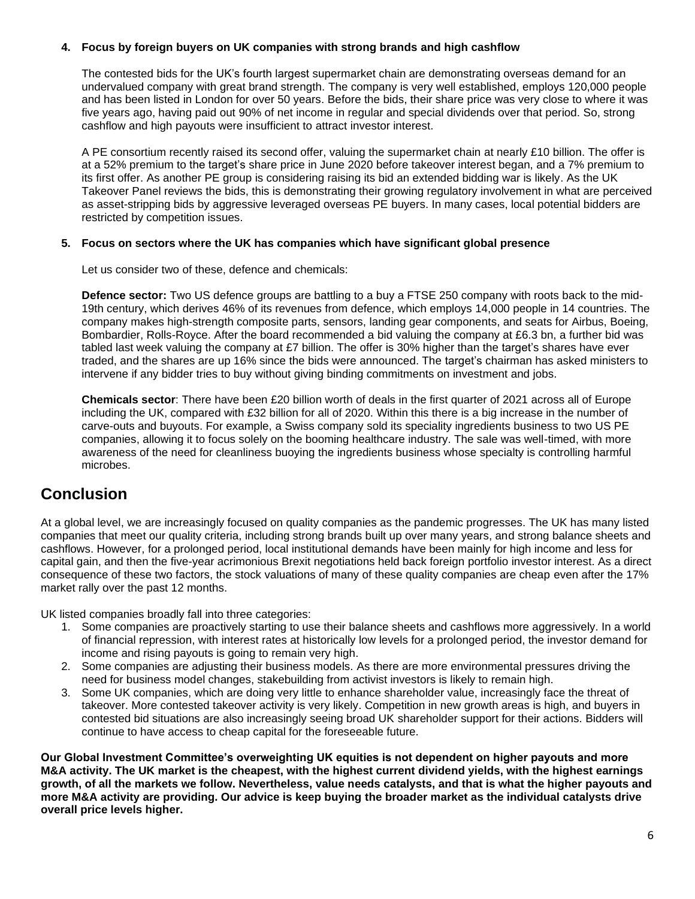#### **4. Focus by foreign buyers on UK companies with strong brands and high cashflow**

The contested bids for the UK's fourth largest supermarket chain are demonstrating overseas demand for an undervalued company with great brand strength. The company is very well established, employs 120,000 people and has been listed in London for over 50 years. Before the bids, their share price was very close to where it was five years ago, having paid out 90% of net income in regular and special dividends over that period. So, strong cashflow and high payouts were insufficient to attract investor interest.

A PE consortium recently raised its second offer, valuing the supermarket chain at nearly £10 billion. The offer is at a 52% premium to the target's share price in June 2020 before takeover interest began, and a 7% premium to its first offer. As another PE group is considering raising its bid an extended bidding war is likely. As the UK Takeover Panel reviews the bids, this is demonstrating their growing regulatory involvement in what are perceived as asset-stripping bids by aggressive leveraged overseas PE buyers. In many cases, local potential bidders are restricted by competition issues.

#### **5. Focus on sectors where the UK has companies which have significant global presence**

Let us consider two of these, defence and chemicals:

**Defence sector:** Two US defence groups are battling to a buy a FTSE 250 company with roots back to the mid-19th century, which derives 46% of its revenues from defence, which employs 14,000 people in 14 countries. The company makes high-strength composite parts, sensors, landing gear components, and seats for Airbus, Boeing, Bombardier, Rolls-Royce. After the board recommended a bid valuing the company at £6.3 bn, a further bid was tabled last week valuing the company at £7 billion. The offer is 30% higher than the target's shares have ever traded, and the shares are up 16% since the bids were announced. The target's chairman has asked ministers to intervene if any bidder tries to buy without giving binding commitments on investment and jobs.

**Chemicals sector**: There have been £20 billion worth of deals in the first quarter of 2021 across all of Europe including the UK, compared with £32 billion for all of 2020. Within this there is a big increase in the number of carve-outs and buyouts. For example, a Swiss company sold its speciality ingredients business to two US PE companies, allowing it to focus solely on the booming healthcare industry. The sale was well-timed, with more awareness of the need for cleanliness buoying the ingredients business whose specialty is controlling harmful microbes.

### **Conclusion**

At a global level, we are increasingly focused on quality companies as the pandemic progresses. The UK has many listed companies that meet our quality criteria, including strong brands built up over many years, and strong balance sheets and cashflows. However, for a prolonged period, local institutional demands have been mainly for high income and less for capital gain, and then the five-year acrimonious Brexit negotiations held back foreign portfolio investor interest. As a direct consequence of these two factors, the stock valuations of many of these quality companies are cheap even after the 17% market rally over the past 12 months.

UK listed companies broadly fall into three categories:

- 1. Some companies are proactively starting to use their balance sheets and cashflows more aggressively. In a world of financial repression, with interest rates at historically low levels for a prolonged period, the investor demand for income and rising payouts is going to remain very high.
- 2. Some companies are adjusting their business models. As there are more environmental pressures driving the need for business model changes, stakebuilding from activist investors is likely to remain high.
- 3. Some UK companies, which are doing very little to enhance shareholder value, increasingly face the threat of takeover. More contested takeover activity is very likely. Competition in new growth areas is high, and buyers in contested bid situations are also increasingly seeing broad UK shareholder support for their actions. Bidders will continue to have access to cheap capital for the foreseeable future.

**Our Global Investment Committee's overweighting UK equities is not dependent on higher payouts and more M&A activity. The UK market is the cheapest, with the highest current dividend yields, with the highest earnings growth, of all the markets we follow. Nevertheless, value needs catalysts, and that is what the higher payouts and more M&A activity are providing. Our advice is keep buying the broader market as the individual catalysts drive overall price levels higher.**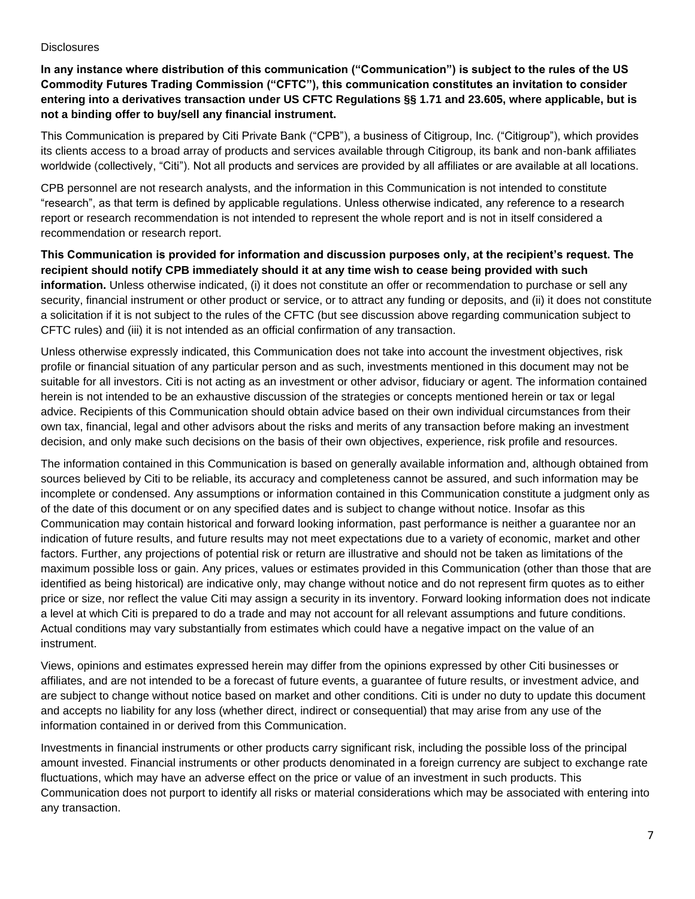#### **Disclosures**

**In any instance where distribution of this communication ("Communication") is subject to the rules of the US Commodity Futures Trading Commission ("CFTC"), this communication constitutes an invitation to consider entering into a derivatives transaction under US CFTC Regulations §§ 1.71 and 23.605, where applicable, but is not a binding offer to buy/sell any financial instrument.**

This Communication is prepared by Citi Private Bank ("CPB"), a business of Citigroup, Inc. ("Citigroup"), which provides its clients access to a broad array of products and services available through Citigroup, its bank and non-bank affiliates worldwide (collectively, "Citi"). Not all products and services are provided by all affiliates or are available at all locations.

CPB personnel are not research analysts, and the information in this Communication is not intended to constitute "research", as that term is defined by applicable regulations. Unless otherwise indicated, any reference to a research report or research recommendation is not intended to represent the whole report and is not in itself considered a recommendation or research report.

**This Communication is provided for information and discussion purposes only, at the recipient's request. The recipient should notify CPB immediately should it at any time wish to cease being provided with such information.** Unless otherwise indicated, (i) it does not constitute an offer or recommendation to purchase or sell any security, financial instrument or other product or service, or to attract any funding or deposits, and (ii) it does not constitute a solicitation if it is not subject to the rules of the CFTC (but see discussion above regarding communication subject to CFTC rules) and (iii) it is not intended as an official confirmation of any transaction.

Unless otherwise expressly indicated, this Communication does not take into account the investment objectives, risk profile or financial situation of any particular person and as such, investments mentioned in this document may not be suitable for all investors. Citi is not acting as an investment or other advisor, fiduciary or agent. The information contained herein is not intended to be an exhaustive discussion of the strategies or concepts mentioned herein or tax or legal advice. Recipients of this Communication should obtain advice based on their own individual circumstances from their own tax, financial, legal and other advisors about the risks and merits of any transaction before making an investment decision, and only make such decisions on the basis of their own objectives, experience, risk profile and resources.

The information contained in this Communication is based on generally available information and, although obtained from sources believed by Citi to be reliable, its accuracy and completeness cannot be assured, and such information may be incomplete or condensed. Any assumptions or information contained in this Communication constitute a judgment only as of the date of this document or on any specified dates and is subject to change without notice. Insofar as this Communication may contain historical and forward looking information, past performance is neither a guarantee nor an indication of future results, and future results may not meet expectations due to a variety of economic, market and other factors. Further, any projections of potential risk or return are illustrative and should not be taken as limitations of the maximum possible loss or gain. Any prices, values or estimates provided in this Communication (other than those that are identified as being historical) are indicative only, may change without notice and do not represent firm quotes as to either price or size, nor reflect the value Citi may assign a security in its inventory. Forward looking information does not indicate a level at which Citi is prepared to do a trade and may not account for all relevant assumptions and future conditions. Actual conditions may vary substantially from estimates which could have a negative impact on the value of an instrument.

Views, opinions and estimates expressed herein may differ from the opinions expressed by other Citi businesses or affiliates, and are not intended to be a forecast of future events, a guarantee of future results, or investment advice, and are subject to change without notice based on market and other conditions. Citi is under no duty to update this document and accepts no liability for any loss (whether direct, indirect or consequential) that may arise from any use of the information contained in or derived from this Communication.

Investments in financial instruments or other products carry significant risk, including the possible loss of the principal amount invested. Financial instruments or other products denominated in a foreign currency are subject to exchange rate fluctuations, which may have an adverse effect on the price or value of an investment in such products. This Communication does not purport to identify all risks or material considerations which may be associated with entering into any transaction.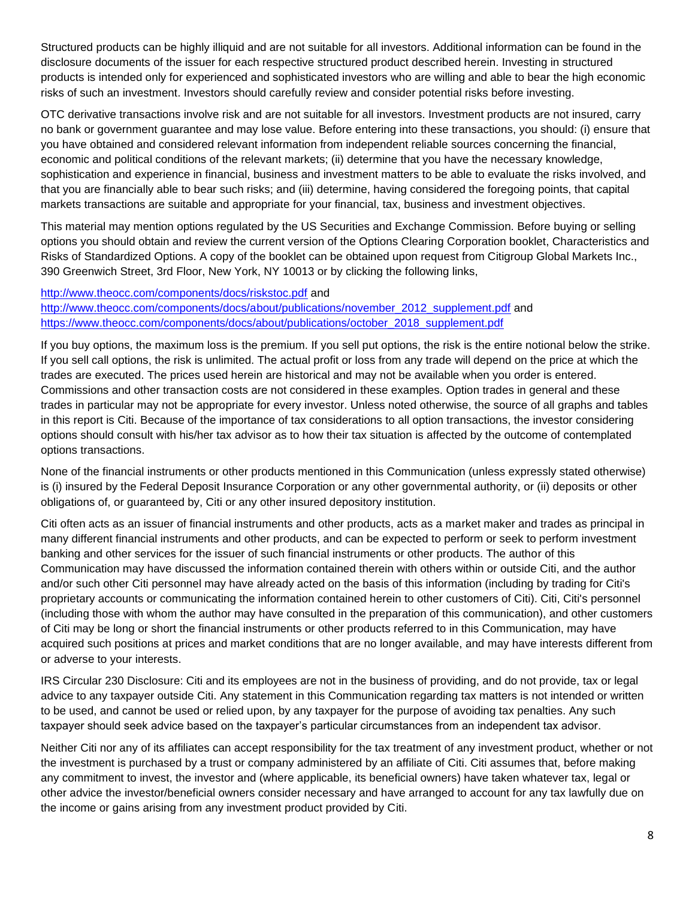Structured products can be highly illiquid and are not suitable for all investors. Additional information can be found in the disclosure documents of the issuer for each respective structured product described herein. Investing in structured products is intended only for experienced and sophisticated investors who are willing and able to bear the high economic risks of such an investment. Investors should carefully review and consider potential risks before investing.

OTC derivative transactions involve risk and are not suitable for all investors. Investment products are not insured, carry no bank or government guarantee and may lose value. Before entering into these transactions, you should: (i) ensure that you have obtained and considered relevant information from independent reliable sources concerning the financial, economic and political conditions of the relevant markets; (ii) determine that you have the necessary knowledge, sophistication and experience in financial, business and investment matters to be able to evaluate the risks involved, and that you are financially able to bear such risks; and (iii) determine, having considered the foregoing points, that capital markets transactions are suitable and appropriate for your financial, tax, business and investment objectives.

This material may mention options regulated by the US Securities and Exchange Commission. Before buying or selling options you should obtain and review the current version of the Options Clearing Corporation booklet, Characteristics and Risks of Standardized Options. A copy of the booklet can be obtained upon request from Citigroup Global Markets Inc., 390 Greenwich Street, 3rd Floor, New York, NY 10013 or by clicking the following links,

#### <http://www.theocc.com/components/docs/riskstoc.pdf> and

[http://www.theocc.com/components/docs/about/publications/november\\_2012\\_supplement.pdf](http://www.theocc.com/components/docs/about/publications/november_2012_supplement.pdf) and [https://www.theocc.com/components/docs/about/publications/october\\_2018\\_supplement.pdf](https://www.theocc.com/components/docs/about/publications/october_2018_supplement.pdf#_blank)

If you buy options, the maximum loss is the premium. If you sell put options, the risk is the entire notional below the strike. If you sell call options, the risk is unlimited. The actual profit or loss from any trade will depend on the price at which the trades are executed. The prices used herein are historical and may not be available when you order is entered. Commissions and other transaction costs are not considered in these examples. Option trades in general and these trades in particular may not be appropriate for every investor. Unless noted otherwise, the source of all graphs and tables in this report is Citi. Because of the importance of tax considerations to all option transactions, the investor considering options should consult with his/her tax advisor as to how their tax situation is affected by the outcome of contemplated options transactions.

None of the financial instruments or other products mentioned in this Communication (unless expressly stated otherwise) is (i) insured by the Federal Deposit Insurance Corporation or any other governmental authority, or (ii) deposits or other obligations of, or guaranteed by, Citi or any other insured depository institution.

Citi often acts as an issuer of financial instruments and other products, acts as a market maker and trades as principal in many different financial instruments and other products, and can be expected to perform or seek to perform investment banking and other services for the issuer of such financial instruments or other products. The author of this Communication may have discussed the information contained therein with others within or outside Citi, and the author and/or such other Citi personnel may have already acted on the basis of this information (including by trading for Citi's proprietary accounts or communicating the information contained herein to other customers of Citi). Citi, Citi's personnel (including those with whom the author may have consulted in the preparation of this communication), and other customers of Citi may be long or short the financial instruments or other products referred to in this Communication, may have acquired such positions at prices and market conditions that are no longer available, and may have interests different from or adverse to your interests.

IRS Circular 230 Disclosure: Citi and its employees are not in the business of providing, and do not provide, tax or legal advice to any taxpayer outside Citi. Any statement in this Communication regarding tax matters is not intended or written to be used, and cannot be used or relied upon, by any taxpayer for the purpose of avoiding tax penalties. Any such taxpayer should seek advice based on the taxpayer's particular circumstances from an independent tax advisor.

Neither Citi nor any of its affiliates can accept responsibility for the tax treatment of any investment product, whether or not the investment is purchased by a trust or company administered by an affiliate of Citi. Citi assumes that, before making any commitment to invest, the investor and (where applicable, its beneficial owners) have taken whatever tax, legal or other advice the investor/beneficial owners consider necessary and have arranged to account for any tax lawfully due on the income or gains arising from any investment product provided by Citi.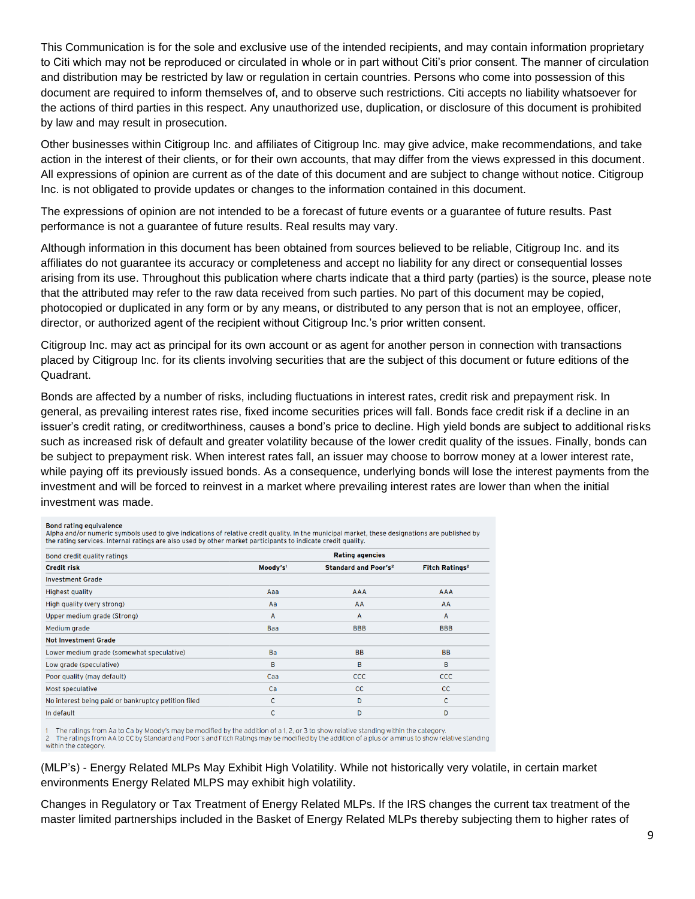This Communication is for the sole and exclusive use of the intended recipients, and may contain information proprietary to Citi which may not be reproduced or circulated in whole or in part without Citi's prior consent. The manner of circulation and distribution may be restricted by law or regulation in certain countries. Persons who come into possession of this document are required to inform themselves of, and to observe such restrictions. Citi accepts no liability whatsoever for the actions of third parties in this respect. Any unauthorized use, duplication, or disclosure of this document is prohibited by law and may result in prosecution.

Other businesses within Citigroup Inc. and affiliates of Citigroup Inc. may give advice, make recommendations, and take action in the interest of their clients, or for their own accounts, that may differ from the views expressed in this document. All expressions of opinion are current as of the date of this document and are subject to change without notice. Citigroup Inc. is not obligated to provide updates or changes to the information contained in this document.

The expressions of opinion are not intended to be a forecast of future events or a guarantee of future results. Past performance is not a guarantee of future results. Real results may vary.

Although information in this document has been obtained from sources believed to be reliable, Citigroup Inc. and its affiliates do not guarantee its accuracy or completeness and accept no liability for any direct or consequential losses arising from its use. Throughout this publication where charts indicate that a third party (parties) is the source, please note that the attributed may refer to the raw data received from such parties. No part of this document may be copied, photocopied or duplicated in any form or by any means, or distributed to any person that is not an employee, officer, director, or authorized agent of the recipient without Citigroup Inc.'s prior written consent.

Citigroup Inc. may act as principal for its own account or as agent for another person in connection with transactions placed by Citigroup Inc. for its clients involving securities that are the subject of this document or future editions of the Quadrant.

Bonds are affected by a number of risks, including fluctuations in interest rates, credit risk and prepayment risk. In general, as prevailing interest rates rise, fixed income securities prices will fall. Bonds face credit risk if a decline in an issuer's credit rating, or creditworthiness, causes a bond's price to decline. High yield bonds are subject to additional risks such as increased risk of default and greater volatility because of the lower credit quality of the issues. Finally, bonds can be subject to prepayment risk. When interest rates fall, an issuer may choose to borrow money at a lower interest rate, while paying off its previously issued bonds. As a consequence, underlying bonds will lose the interest payments from the investment and will be forced to reinvest in a market where prevailing interest rates are lower than when the initial investment was made.

#### **Bond rating equivalence**

state and for numeric symbols used to give indications of relative credit quality. In the municipal market, these designations are published by<br>the rating services. Internal ratings are also used by other market participan

| Bond credit quality ratings<br><b>Credit risk</b>   | <b>Rating agencies</b> |                                        |                                  |
|-----------------------------------------------------|------------------------|----------------------------------------|----------------------------------|
|                                                     | Moody's'               | <b>Standard and Poor's<sup>2</sup></b> | <b>Fitch Ratings<sup>2</sup></b> |
| <b>Investment Grade</b>                             |                        |                                        |                                  |
| <b>Highest quality</b>                              | Aaa                    | <b>AAA</b>                             | <b>AAA</b>                       |
| High quality (very strong)                          | Aa                     | AA                                     | AA                               |
| Upper medium grade (Strong)                         | $\overline{A}$         | $\overline{A}$                         | A                                |
| Medium grade                                        | Baa                    | <b>BBB</b>                             | <b>BBB</b>                       |
| <b>Not Investment Grade</b>                         |                        |                                        |                                  |
| Lower medium grade (somewhat speculative)           | Ba                     | <b>BB</b>                              | <b>BB</b>                        |
| Low grade (speculative)                             | B                      | B                                      | B                                |
| Poor quality (may default)                          | Caa                    | <b>CCC</b>                             | <b>CCC</b>                       |
| Most speculative                                    | Ca                     | cc                                     | cc                               |
| No interest being paid or bankruptcy petition filed | C                      | D                                      | C                                |
| In default                                          | C                      | D                                      | D                                |

The ratings from Aa to Ca by Moody's may be modified by the addition of a 1, 2, or 3 to show relative standing within the category. The ratings from AA to CC by Standard and Poor's and Fitch Ratings may be modified by the addition of a plus or a minus to show relative standing

within the category.

(MLP's) - Energy Related MLPs May Exhibit High Volatility. While not historically very volatile, in certain market environments Energy Related MLPS may exhibit high volatility.

Changes in Regulatory or Tax Treatment of Energy Related MLPs. If the IRS changes the current tax treatment of the master limited partnerships included in the Basket of Energy Related MLPs thereby subjecting them to higher rates of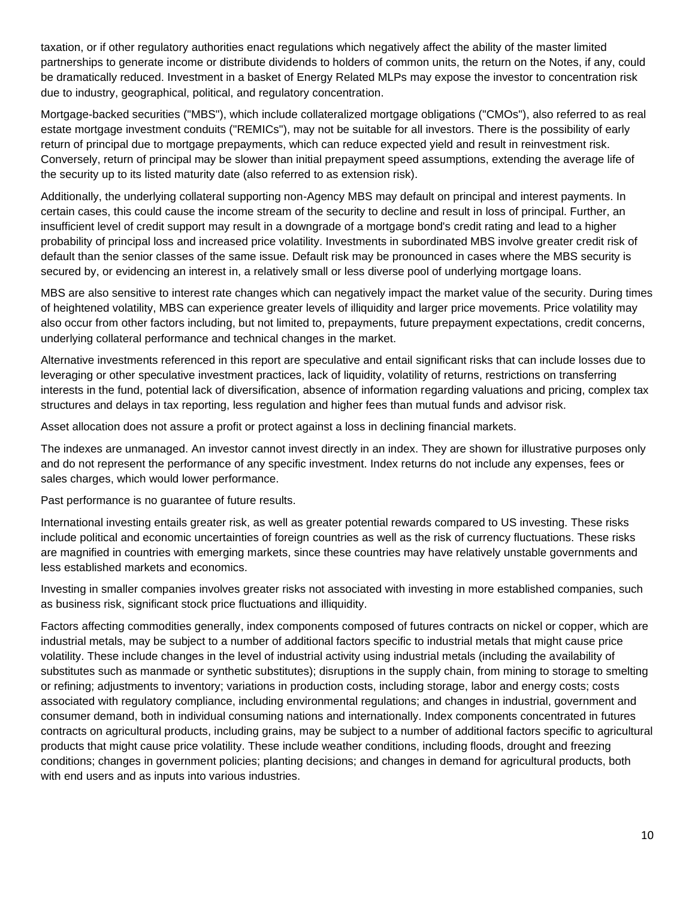taxation, or if other regulatory authorities enact regulations which negatively affect the ability of the master limited partnerships to generate income or distribute dividends to holders of common units, the return on the Notes, if any, could be dramatically reduced. Investment in a basket of Energy Related MLPs may expose the investor to concentration risk due to industry, geographical, political, and regulatory concentration.

Mortgage-backed securities ("MBS"), which include collateralized mortgage obligations ("CMOs"), also referred to as real estate mortgage investment conduits ("REMICs"), may not be suitable for all investors. There is the possibility of early return of principal due to mortgage prepayments, which can reduce expected yield and result in reinvestment risk. Conversely, return of principal may be slower than initial prepayment speed assumptions, extending the average life of the security up to its listed maturity date (also referred to as extension risk).

Additionally, the underlying collateral supporting non-Agency MBS may default on principal and interest payments. In certain cases, this could cause the income stream of the security to decline and result in loss of principal. Further, an insufficient level of credit support may result in a downgrade of a mortgage bond's credit rating and lead to a higher probability of principal loss and increased price volatility. Investments in subordinated MBS involve greater credit risk of default than the senior classes of the same issue. Default risk may be pronounced in cases where the MBS security is secured by, or evidencing an interest in, a relatively small or less diverse pool of underlying mortgage loans.

MBS are also sensitive to interest rate changes which can negatively impact the market value of the security. During times of heightened volatility, MBS can experience greater levels of illiquidity and larger price movements. Price volatility may also occur from other factors including, but not limited to, prepayments, future prepayment expectations, credit concerns, underlying collateral performance and technical changes in the market.

Alternative investments referenced in this report are speculative and entail significant risks that can include losses due to leveraging or other speculative investment practices, lack of liquidity, volatility of returns, restrictions on transferring interests in the fund, potential lack of diversification, absence of information regarding valuations and pricing, complex tax structures and delays in tax reporting, less regulation and higher fees than mutual funds and advisor risk.

Asset allocation does not assure a profit or protect against a loss in declining financial markets.

The indexes are unmanaged. An investor cannot invest directly in an index. They are shown for illustrative purposes only and do not represent the performance of any specific investment. Index returns do not include any expenses, fees or sales charges, which would lower performance.

Past performance is no guarantee of future results.

International investing entails greater risk, as well as greater potential rewards compared to US investing. These risks include political and economic uncertainties of foreign countries as well as the risk of currency fluctuations. These risks are magnified in countries with emerging markets, since these countries may have relatively unstable governments and less established markets and economics.

Investing in smaller companies involves greater risks not associated with investing in more established companies, such as business risk, significant stock price fluctuations and illiquidity.

Factors affecting commodities generally, index components composed of futures contracts on nickel or copper, which are industrial metals, may be subject to a number of additional factors specific to industrial metals that might cause price volatility. These include changes in the level of industrial activity using industrial metals (including the availability of substitutes such as manmade or synthetic substitutes); disruptions in the supply chain, from mining to storage to smelting or refining; adjustments to inventory; variations in production costs, including storage, labor and energy costs; costs associated with regulatory compliance, including environmental regulations; and changes in industrial, government and consumer demand, both in individual consuming nations and internationally. Index components concentrated in futures contracts on agricultural products, including grains, may be subject to a number of additional factors specific to agricultural products that might cause price volatility. These include weather conditions, including floods, drought and freezing conditions; changes in government policies; planting decisions; and changes in demand for agricultural products, both with end users and as inputs into various industries.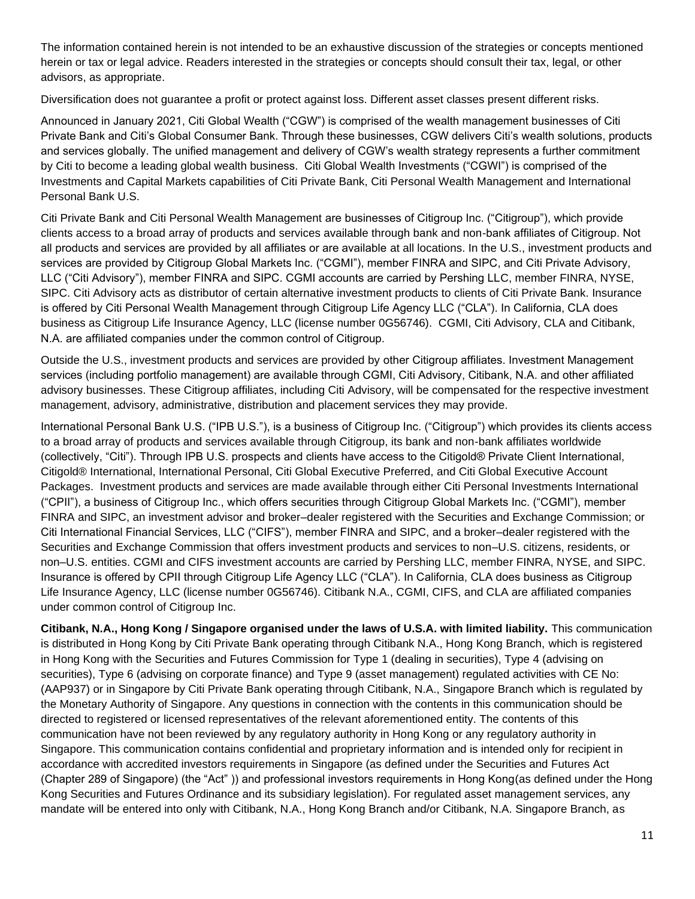The information contained herein is not intended to be an exhaustive discussion of the strategies or concepts mentioned herein or tax or legal advice. Readers interested in the strategies or concepts should consult their tax, legal, or other advisors, as appropriate.

Diversification does not guarantee a profit or protect against loss. Different asset classes present different risks.

Announced in January 2021, Citi Global Wealth ("CGW") is comprised of the wealth management businesses of Citi Private Bank and Citi's Global Consumer Bank. Through these businesses, CGW delivers Citi's wealth solutions, products and services globally. The unified management and delivery of CGW's wealth strategy represents a further commitment by Citi to become a leading global wealth business. Citi Global Wealth Investments ("CGWI") is comprised of the Investments and Capital Markets capabilities of Citi Private Bank, Citi Personal Wealth Management and International Personal Bank U.S.

Citi Private Bank and Citi Personal Wealth Management are businesses of Citigroup Inc. ("Citigroup"), which provide clients access to a broad array of products and services available through bank and non-bank affiliates of Citigroup. Not all products and services are provided by all affiliates or are available at all locations. In the U.S., investment products and services are provided by Citigroup Global Markets Inc. ("CGMI"), member FINRA and SIPC, and Citi Private Advisory, LLC ("Citi Advisory"), member FINRA and SIPC. CGMI accounts are carried by Pershing LLC, member FINRA, NYSE, SIPC. Citi Advisory acts as distributor of certain alternative investment products to clients of Citi Private Bank. Insurance is offered by Citi Personal Wealth Management through Citigroup Life Agency LLC ("CLA"). In California, CLA does business as Citigroup Life Insurance Agency, LLC (license number 0G56746). CGMI, Citi Advisory, CLA and Citibank, N.A. are affiliated companies under the common control of Citigroup.

Outside the U.S., investment products and services are provided by other Citigroup affiliates. Investment Management services (including portfolio management) are available through CGMI, Citi Advisory, Citibank, N.A. and other affiliated advisory businesses. These Citigroup affiliates, including Citi Advisory, will be compensated for the respective investment management, advisory, administrative, distribution and placement services they may provide.

International Personal Bank U.S. ("IPB U.S."), is a business of Citigroup Inc. ("Citigroup") which provides its clients access to a broad array of products and services available through Citigroup, its bank and non-bank affiliates worldwide (collectively, "Citi"). Through IPB U.S. prospects and clients have access to the Citigold® Private Client International, Citigold® International, International Personal, Citi Global Executive Preferred, and Citi Global Executive Account Packages. Investment products and services are made available through either Citi Personal Investments International ("CPII"), a business of Citigroup Inc., which offers securities through Citigroup Global Markets Inc. ("CGMI"), member FINRA and SIPC, an investment advisor and broker–dealer registered with the Securities and Exchange Commission; or Citi International Financial Services, LLC ("CIFS"), member FINRA and SIPC, and a broker–dealer registered with the Securities and Exchange Commission that offers investment products and services to non–U.S. citizens, residents, or non–U.S. entities. CGMI and CIFS investment accounts are carried by Pershing LLC, member FINRA, NYSE, and SIPC. Insurance is offered by CPII through Citigroup Life Agency LLC ("CLA"). In California, CLA does business as Citigroup Life Insurance Agency, LLC (license number 0G56746). Citibank N.A., CGMI, CIFS, and CLA are affiliated companies under common control of Citigroup Inc.

**Citibank, N.A., Hong Kong / Singapore organised under the laws of U.S.A. with limited liability.** This communication is distributed in Hong Kong by Citi Private Bank operating through Citibank N.A., Hong Kong Branch, which is registered in Hong Kong with the Securities and Futures Commission for Type 1 (dealing in securities), Type 4 (advising on securities), Type 6 (advising on corporate finance) and Type 9 (asset management) regulated activities with CE No: (AAP937) or in Singapore by Citi Private Bank operating through Citibank, N.A., Singapore Branch which is regulated by the Monetary Authority of Singapore. Any questions in connection with the contents in this communication should be directed to registered or licensed representatives of the relevant aforementioned entity. The contents of this communication have not been reviewed by any regulatory authority in Hong Kong or any regulatory authority in Singapore. This communication contains confidential and proprietary information and is intended only for recipient in accordance with accredited investors requirements in Singapore (as defined under the Securities and Futures Act (Chapter 289 of Singapore) (the "Act" )) and professional investors requirements in Hong Kong(as defined under the Hong Kong Securities and Futures Ordinance and its subsidiary legislation). For regulated asset management services, any mandate will be entered into only with Citibank, N.A., Hong Kong Branch and/or Citibank, N.A. Singapore Branch, as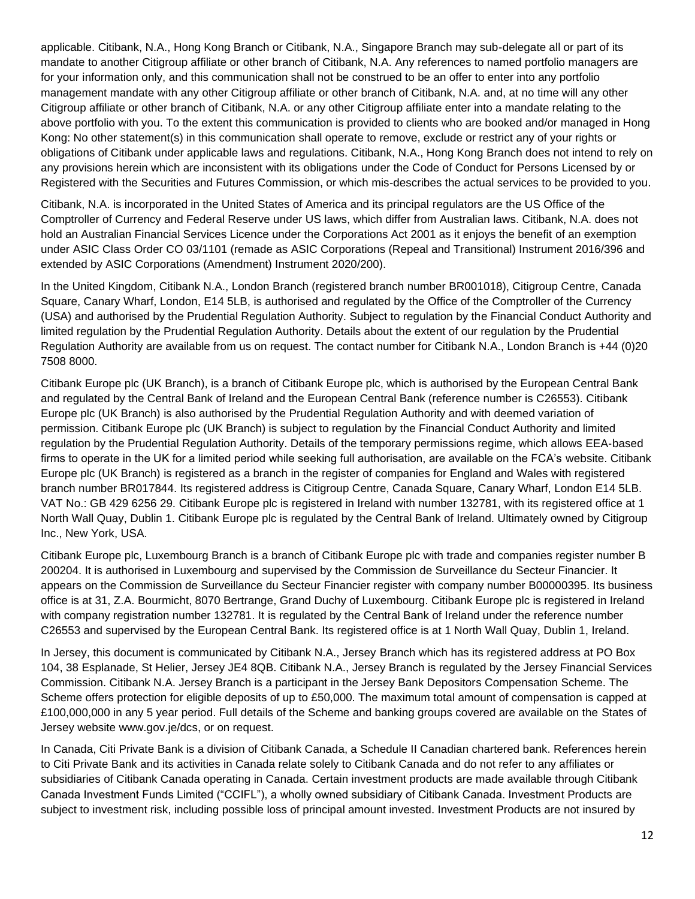applicable. Citibank, N.A., Hong Kong Branch or Citibank, N.A., Singapore Branch may sub-delegate all or part of its mandate to another Citigroup affiliate or other branch of Citibank, N.A. Any references to named portfolio managers are for your information only, and this communication shall not be construed to be an offer to enter into any portfolio management mandate with any other Citigroup affiliate or other branch of Citibank, N.A. and, at no time will any other Citigroup affiliate or other branch of Citibank, N.A. or any other Citigroup affiliate enter into a mandate relating to the above portfolio with you. To the extent this communication is provided to clients who are booked and/or managed in Hong Kong: No other statement(s) in this communication shall operate to remove, exclude or restrict any of your rights or obligations of Citibank under applicable laws and regulations. Citibank, N.A., Hong Kong Branch does not intend to rely on any provisions herein which are inconsistent with its obligations under the Code of Conduct for Persons Licensed by or Registered with the Securities and Futures Commission, or which mis-describes the actual services to be provided to you.

Citibank, N.A. is incorporated in the United States of America and its principal regulators are the US Office of the Comptroller of Currency and Federal Reserve under US laws, which differ from Australian laws. Citibank, N.A. does not hold an Australian Financial Services Licence under the Corporations Act 2001 as it enjoys the benefit of an exemption under ASIC Class Order CO 03/1101 (remade as ASIC Corporations (Repeal and Transitional) Instrument 2016/396 and extended by ASIC Corporations (Amendment) Instrument 2020/200).

In the United Kingdom, Citibank N.A., London Branch (registered branch number BR001018), Citigroup Centre, Canada Square, Canary Wharf, London, E14 5LB, is authorised and regulated by the Office of the Comptroller of the Currency (USA) and authorised by the Prudential Regulation Authority. Subject to regulation by the Financial Conduct Authority and limited regulation by the Prudential Regulation Authority. Details about the extent of our regulation by the Prudential Regulation Authority are available from us on request. The contact number for Citibank N.A., London Branch is +44 (0)20 7508 8000.

Citibank Europe plc (UK Branch), is a branch of Citibank Europe plc, which is authorised by the European Central Bank and regulated by the Central Bank of Ireland and the European Central Bank (reference number is C26553). Citibank Europe plc (UK Branch) is also authorised by the Prudential Regulation Authority and with deemed variation of permission. Citibank Europe plc (UK Branch) is subject to regulation by the Financial Conduct Authority and limited regulation by the Prudential Regulation Authority. Details of the temporary permissions regime, which allows EEA‐based firms to operate in the UK for a limited period while seeking full authorisation, are available on the FCA's website. Citibank Europe plc (UK Branch) is registered as a branch in the register of companies for England and Wales with registered branch number BR017844. Its registered address is Citigroup Centre, Canada Square, Canary Wharf, London E14 5LB. VAT No.: GB 429 6256 29. Citibank Europe plc is registered in Ireland with number 132781, with its registered office at 1 North Wall Quay, Dublin 1. Citibank Europe plc is regulated by the Central Bank of Ireland. Ultimately owned by Citigroup Inc., New York, USA.

Citibank Europe plc, Luxembourg Branch is a branch of Citibank Europe plc with trade and companies register number B 200204. It is authorised in Luxembourg and supervised by the Commission de Surveillance du Secteur Financier. It appears on the Commission de Surveillance du Secteur Financier register with company number B00000395. Its business office is at 31, Z.A. Bourmicht, 8070 Bertrange, Grand Duchy of Luxembourg. Citibank Europe plc is registered in Ireland with company registration number 132781. It is regulated by the Central Bank of Ireland under the reference number C26553 and supervised by the European Central Bank. Its registered office is at 1 North Wall Quay, Dublin 1, Ireland.

In Jersey, this document is communicated by Citibank N.A., Jersey Branch which has its registered address at PO Box 104, 38 Esplanade, St Helier, Jersey JE4 8QB. Citibank N.A., Jersey Branch is regulated by the Jersey Financial Services Commission. Citibank N.A. Jersey Branch is a participant in the Jersey Bank Depositors Compensation Scheme. The Scheme offers protection for eligible deposits of up to £50,000. The maximum total amount of compensation is capped at £100,000,000 in any 5 year period. Full details of the Scheme and banking groups covered are available on the States of Jersey website www.gov.je/dcs, or on request.

In Canada, Citi Private Bank is a division of Citibank Canada, a Schedule II Canadian chartered bank. References herein to Citi Private Bank and its activities in Canada relate solely to Citibank Canada and do not refer to any affiliates or subsidiaries of Citibank Canada operating in Canada. Certain investment products are made available through Citibank Canada Investment Funds Limited ("CCIFL"), a wholly owned subsidiary of Citibank Canada. Investment Products are subject to investment risk, including possible loss of principal amount invested. Investment Products are not insured by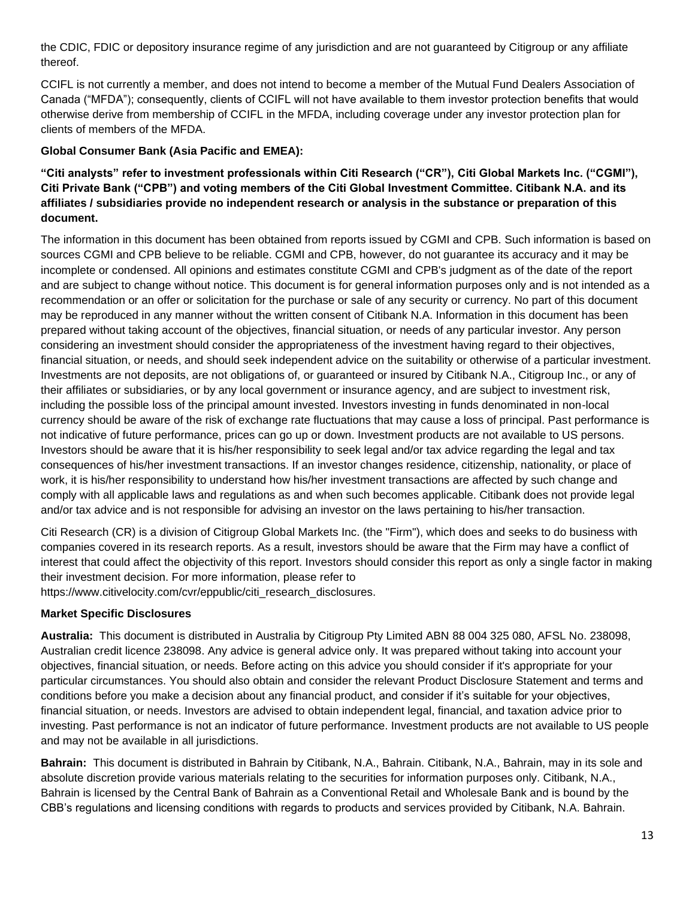the CDIC, FDIC or depository insurance regime of any jurisdiction and are not guaranteed by Citigroup or any affiliate thereof.

CCIFL is not currently a member, and does not intend to become a member of the Mutual Fund Dealers Association of Canada ("MFDA"); consequently, clients of CCIFL will not have available to them investor protection benefits that would otherwise derive from membership of CCIFL in the MFDA, including coverage under any investor protection plan for clients of members of the MFDA.

### **Global Consumer Bank (Asia Pacific and EMEA):**

**"Citi analysts" refer to investment professionals within Citi Research ("CR"), Citi Global Markets Inc. ("CGMI"), Citi Private Bank ("CPB") and voting members of the Citi Global Investment Committee. Citibank N.A. and its affiliates / subsidiaries provide no independent research or analysis in the substance or preparation of this document.** 

The information in this document has been obtained from reports issued by CGMI and CPB. Such information is based on sources CGMI and CPB believe to be reliable. CGMI and CPB, however, do not guarantee its accuracy and it may be incomplete or condensed. All opinions and estimates constitute CGMI and CPB's judgment as of the date of the report and are subject to change without notice. This document is for general information purposes only and is not intended as a recommendation or an offer or solicitation for the purchase or sale of any security or currency. No part of this document may be reproduced in any manner without the written consent of Citibank N.A. Information in this document has been prepared without taking account of the objectives, financial situation, or needs of any particular investor. Any person considering an investment should consider the appropriateness of the investment having regard to their objectives, financial situation, or needs, and should seek independent advice on the suitability or otherwise of a particular investment. Investments are not deposits, are not obligations of, or guaranteed or insured by Citibank N.A., Citigroup Inc., or any of their affiliates or subsidiaries, or by any local government or insurance agency, and are subject to investment risk, including the possible loss of the principal amount invested. Investors investing in funds denominated in non-local currency should be aware of the risk of exchange rate fluctuations that may cause a loss of principal. Past performance is not indicative of future performance, prices can go up or down. Investment products are not available to US persons. Investors should be aware that it is his/her responsibility to seek legal and/or tax advice regarding the legal and tax consequences of his/her investment transactions. If an investor changes residence, citizenship, nationality, or place of work, it is his/her responsibility to understand how his/her investment transactions are affected by such change and comply with all applicable laws and regulations as and when such becomes applicable. Citibank does not provide legal and/or tax advice and is not responsible for advising an investor on the laws pertaining to his/her transaction.

Citi Research (CR) is a division of Citigroup Global Markets Inc. (the "Firm"), which does and seeks to do business with companies covered in its research reports. As a result, investors should be aware that the Firm may have a conflict of interest that could affect the objectivity of this report. Investors should consider this report as only a single factor in making their investment decision. For more information, please refer to

https://www.citivelocity.com/cvr/eppublic/citi\_research\_disclosures.

#### **Market Specific Disclosures**

**Australia:** This document is distributed in Australia by Citigroup Pty Limited ABN 88 004 325 080, AFSL No. 238098, Australian credit licence 238098. Any advice is general advice only. It was prepared without taking into account your objectives, financial situation, or needs. Before acting on this advice you should consider if it's appropriate for your particular circumstances. You should also obtain and consider the relevant Product Disclosure Statement and terms and conditions before you make a decision about any financial product, and consider if it's suitable for your objectives, financial situation, or needs. Investors are advised to obtain independent legal, financial, and taxation advice prior to investing. Past performance is not an indicator of future performance. Investment products are not available to US people and may not be available in all jurisdictions.

**Bahrain:** This document is distributed in Bahrain by Citibank, N.A., Bahrain. Citibank, N.A., Bahrain, may in its sole and absolute discretion provide various materials relating to the securities for information purposes only. Citibank, N.A., Bahrain is licensed by the Central Bank of Bahrain as a Conventional Retail and Wholesale Bank and is bound by the CBB's regulations and licensing conditions with regards to products and services provided by Citibank, N.A. Bahrain.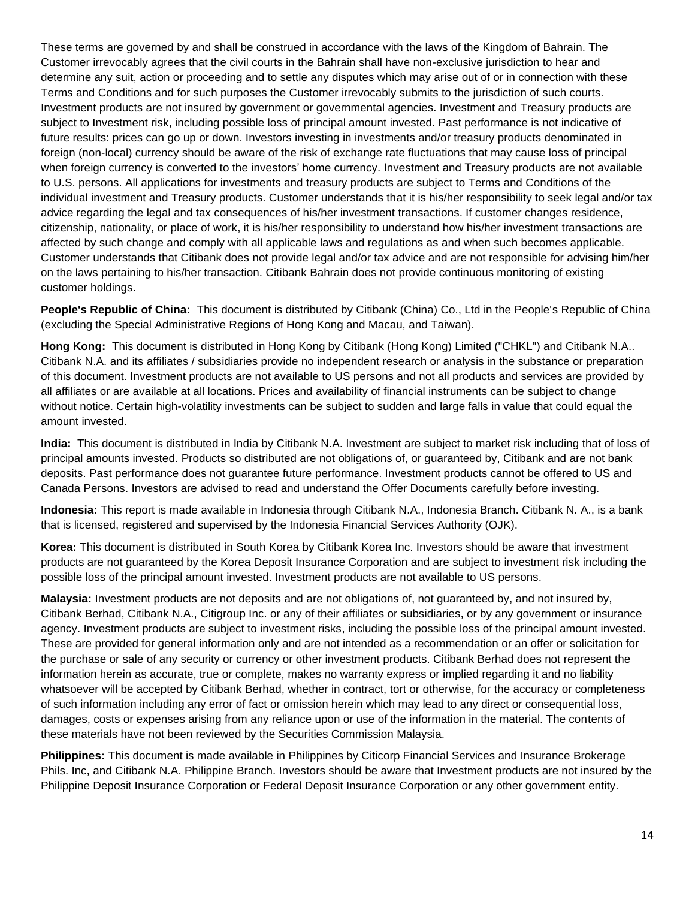These terms are governed by and shall be construed in accordance with the laws of the Kingdom of Bahrain. The Customer irrevocably agrees that the civil courts in the Bahrain shall have non-exclusive jurisdiction to hear and determine any suit, action or proceeding and to settle any disputes which may arise out of or in connection with these Terms and Conditions and for such purposes the Customer irrevocably submits to the jurisdiction of such courts. Investment products are not insured by government or governmental agencies. Investment and Treasury products are subject to Investment risk, including possible loss of principal amount invested. Past performance is not indicative of future results: prices can go up or down. Investors investing in investments and/or treasury products denominated in foreign (non-local) currency should be aware of the risk of exchange rate fluctuations that may cause loss of principal when foreign currency is converted to the investors' home currency. Investment and Treasury products are not available to U.S. persons. All applications for investments and treasury products are subject to Terms and Conditions of the individual investment and Treasury products. Customer understands that it is his/her responsibility to seek legal and/or tax advice regarding the legal and tax consequences of his/her investment transactions. If customer changes residence, citizenship, nationality, or place of work, it is his/her responsibility to understand how his/her investment transactions are affected by such change and comply with all applicable laws and regulations as and when such becomes applicable. Customer understands that Citibank does not provide legal and/or tax advice and are not responsible for advising him/her on the laws pertaining to his/her transaction. Citibank Bahrain does not provide continuous monitoring of existing customer holdings.

**People's Republic of China:** This document is distributed by Citibank (China) Co., Ltd in the People's Republic of China (excluding the Special Administrative Regions of Hong Kong and Macau, and Taiwan).

**Hong Kong:** This document is distributed in Hong Kong by Citibank (Hong Kong) Limited ("CHKL") and Citibank N.A.. Citibank N.A. and its affiliates / subsidiaries provide no independent research or analysis in the substance or preparation of this document. Investment products are not available to US persons and not all products and services are provided by all affiliates or are available at all locations. Prices and availability of financial instruments can be subject to change without notice. Certain high-volatility investments can be subject to sudden and large falls in value that could equal the amount invested.

**India:** This document is distributed in India by Citibank N.A. Investment are subject to market risk including that of loss of principal amounts invested. Products so distributed are not obligations of, or guaranteed by, Citibank and are not bank deposits. Past performance does not guarantee future performance. Investment products cannot be offered to US and Canada Persons. Investors are advised to read and understand the Offer Documents carefully before investing.

**Indonesia:** This report is made available in Indonesia through Citibank N.A., Indonesia Branch. Citibank N. A., is a bank that is licensed, registered and supervised by the Indonesia Financial Services Authority (OJK).

**Korea:** This document is distributed in South Korea by Citibank Korea Inc. Investors should be aware that investment products are not guaranteed by the Korea Deposit Insurance Corporation and are subject to investment risk including the possible loss of the principal amount invested. Investment products are not available to US persons.

**Malaysia:** Investment products are not deposits and are not obligations of, not guaranteed by, and not insured by, Citibank Berhad, Citibank N.A., Citigroup Inc. or any of their affiliates or subsidiaries, or by any government or insurance agency. Investment products are subject to investment risks, including the possible loss of the principal amount invested. These are provided for general information only and are not intended as a recommendation or an offer or solicitation for the purchase or sale of any security or currency or other investment products. Citibank Berhad does not represent the information herein as accurate, true or complete, makes no warranty express or implied regarding it and no liability whatsoever will be accepted by Citibank Berhad, whether in contract, tort or otherwise, for the accuracy or completeness of such information including any error of fact or omission herein which may lead to any direct or consequential loss, damages, costs or expenses arising from any reliance upon or use of the information in the material. The contents of these materials have not been reviewed by the Securities Commission Malaysia.

**Philippines:** This document is made available in Philippines by Citicorp Financial Services and Insurance Brokerage Phils. Inc, and Citibank N.A. Philippine Branch. Investors should be aware that Investment products are not insured by the Philippine Deposit Insurance Corporation or Federal Deposit Insurance Corporation or any other government entity.